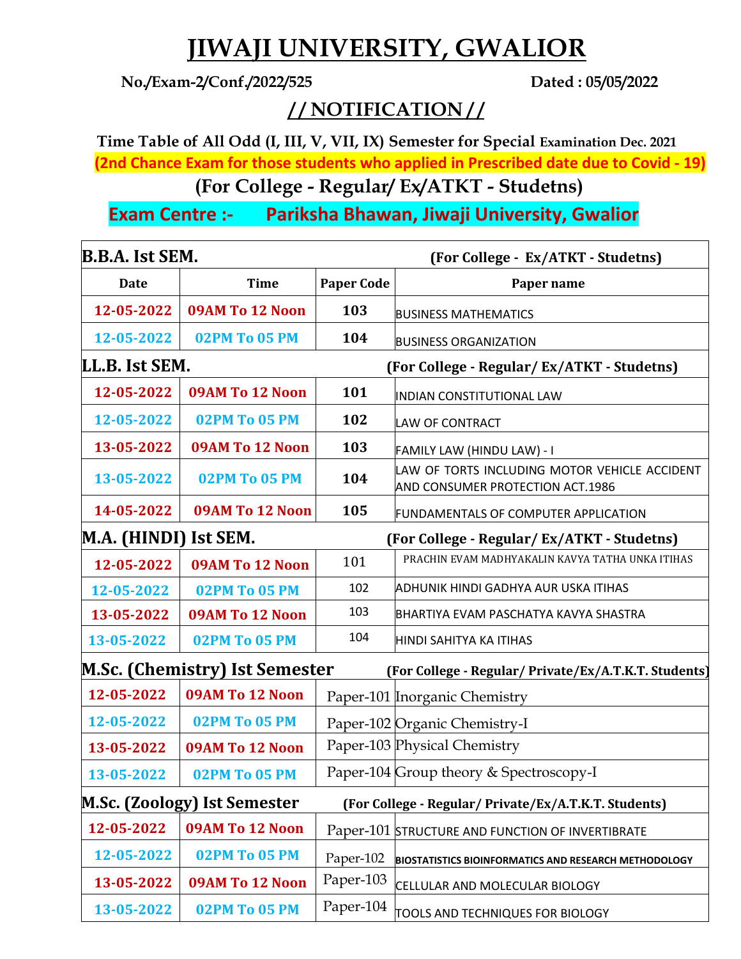## **JIWAJI UNIVERSITY, GWALIOR**

**No./Exam-2/Conf./2022/525 Dated : 05/05/2022**

## **/ / NOTIFICATION / /**

**Time Table of All Odd (I, III, V, VII, IX) Semester for Special Examination Dec. 2021 (2nd Chance Exam for those students who applied in Prescribed date due to Covid - 19)**

**(For College - Regular/ Ex/ATKT - Studetns)** 

**Exam Centre :- Pariksha Bhawan, Jiwaji University, Gwalior**

| <b>B.B.A.</b> Ist SEM. |                                       |                   | (For College - Ex/ATKT - Studetns)                                                |  |
|------------------------|---------------------------------------|-------------------|-----------------------------------------------------------------------------------|--|
| <b>Date</b>            | <b>Time</b>                           | <b>Paper Code</b> | Paper name                                                                        |  |
| 12-05-2022             | 09AM To 12 Noon                       | 103               | <b>BUSINESS MATHEMATICS</b>                                                       |  |
| 12-05-2022             | 02PM To 05 PM                         | 104               | <b>BUSINESS ORGANIZATION</b>                                                      |  |
| LL.B. Ist SEM.         |                                       |                   | (For College - Regular/ Ex/ATKT - Studetns)                                       |  |
| 12-05-2022             | 09AM To 12 Noon                       | 101               | INDIAN CONSTITUTIONAL LAW                                                         |  |
| 12-05-2022             | 02PM To 05 PM                         | 102               | <b>LAW OF CONTRACT</b>                                                            |  |
| 13-05-2022             | 09AM To 12 Noon                       | 103               | FAMILY LAW (HINDU LAW) - I                                                        |  |
| 13-05-2022             | 02PM To 05 PM                         | 104               | LAW OF TORTS INCLUDING MOTOR VEHICLE ACCIDENT<br>AND CONSUMER PROTECTION ACT.1986 |  |
| 14-05-2022             | 09AM To 12 Noon                       | 105               | FUNDAMENTALS OF COMPUTER APPLICATION                                              |  |
| M.A. (HINDI) Ist SEM.  |                                       |                   | (For College - Regular/Ex/ATKT - Studetns)                                        |  |
| 12-05-2022             | 09AM To 12 Noon                       | 101               | PRACHIN EVAM MADHYAKALIN KAVYA TATHA UNKA ITIHAS                                  |  |
| 12-05-2022             | <b>02PM To 05 PM</b>                  | 102               | ADHUNIK HINDI GADHYA AUR USKA ITIHAS                                              |  |
| 13-05-2022             | 09AM To 12 Noon                       | 103               | BHARTIYA EVAM PASCHATYA KAVYA SHASTRA                                             |  |
| 13-05-2022             | 02PM To 05 PM                         | 104               | HINDI SAHITYA KA ITIHAS                                                           |  |
|                        | <b>M.Sc. (Chemistry) Ist Semester</b> |                   | (For College - Regular/ Private/Ex/A.T.K.T. Students)                             |  |
| 12-05-2022             | 09AM To 12 Noon                       |                   | Paper-101 Inorganic Chemistry                                                     |  |
| 12-05-2022             | 02PM To 05 PM                         |                   | Paper-102 Organic Chemistry-I                                                     |  |
| 13-05-2022             | 09AM To 12 Noon                       |                   | Paper-103 Physical Chemistry                                                      |  |
| 13-05-2022             | 02PM To 05 PM                         |                   | Paper-104 Group theory & Spectroscopy-I                                           |  |
|                        | <b>M.Sc. (Zoology) Ist Semester</b>   |                   | (For College - Regular/ Private/Ex/A.T.K.T. Students)                             |  |
| 12-05-2022             | 09AM To 12 Noon                       |                   | Paper-101 STRUCTURE AND FUNCTION OF INVERTIBRATE                                  |  |
| 12-05-2022             | <b>02PM To 05 PM</b>                  | Paper-102         | <b>BIOSTATISTICS BIOINFORMATICS AND RESEARCH METHODOLOGY</b>                      |  |
| 13-05-2022             | 09AM To 12 Noon                       | Paper-103         | CELLULAR AND MOLECULAR BIOLOGY                                                    |  |
| 13-05-2022             | 02PM To 05 PM                         | Paper-104         | TOOLS AND TECHNIQUES FOR BIOLOGY                                                  |  |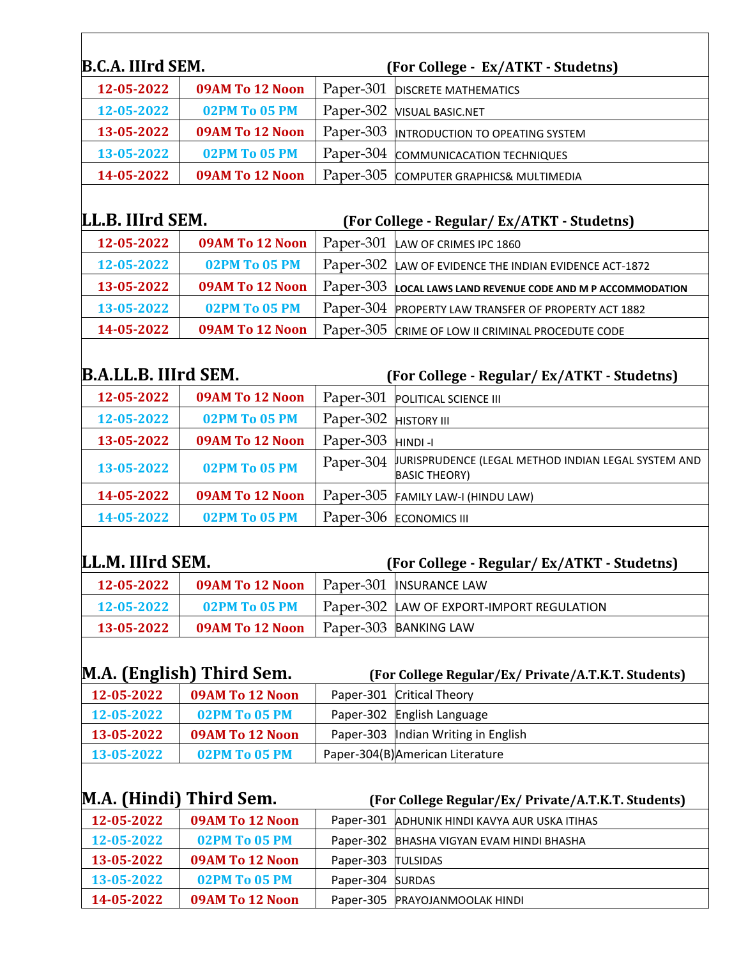| B.C.A. IIIrd SEM.        |                                  |                               | (For College - Ex/ATKT - Studetns)                                          |
|--------------------------|----------------------------------|-------------------------------|-----------------------------------------------------------------------------|
| 12-05-2022               | 09AM To 12 Noon                  | Paper-301                     | <b>DISCRETE MATHEMATICS</b>                                                 |
| 12-05-2022               | 02PM To 05 PM                    | Paper-302                     | <b>VISUAL BASIC.NET</b>                                                     |
| 13-05-2022               | 09AM To 12 Noon                  | Paper-303                     | INTRODUCTION TO OPEATING SYSTEM                                             |
| 13-05-2022               | <b>02PM To 05 PM</b>             | Paper-304                     | COMMUNICACATION TECHNIQUES                                                  |
| 14-05-2022               | 09AM To 12 Noon                  | Paper-305                     | COMPUTER GRAPHICS& MULTIMEDIA                                               |
| LL.B. IIIrd SEM.         |                                  |                               |                                                                             |
| 12-05-2022               | 09AM To 12 Noon                  |                               | (For College - Regular/ Ex/ATKT - Studetns)                                 |
| 12-05-2022               | 02PM To 05 PM                    | Paper-301<br>Paper-302        | LAW OF CRIMES IPC 1860                                                      |
| 13-05-2022               | 09AM To 12 Noon                  | Paper-303                     | LAW OF EVIDENCE THE INDIAN EVIDENCE ACT-1872                                |
|                          |                                  |                               | LOCAL LAWS LAND REVENUE CODE AND M P ACCOMMODATION                          |
| 13-05-2022               | 02PM To 05 PM                    | Paper-304                     | PROPERTY LAW TRANSFER OF PROPERTY ACT 1882                                  |
| 14-05-2022               | 09AM To 12 Noon                  | Paper-305                     | CRIME OF LOW II CRIMINAL PROCEDUTE CODE                                     |
| B.A.LL.B. IIIrd SEM.     |                                  |                               | (For College - Regular/Ex/ATKT - Studetns)                                  |
| 12-05-2022               | 09AM To 12 Noon                  | Paper-301                     | POLITICAL SCIENCE III                                                       |
| 12-05-2022               | 02PM To 05 PM                    | Paper-302                     | <b>HISTORY III</b>                                                          |
| 13-05-2022               | 09AM To 12 Noon                  | Paper-303                     | HINDI-I                                                                     |
| 13-05-2022               | 02PM To 05 PM                    | Paper-304                     | JURISPRUDENCE (LEGAL METHOD INDIAN LEGAL SYSTEM AND<br><b>BASIC THEORY)</b> |
| 14-05-2022               | 09AM To 12 Noon                  | Paper-305                     | FAMILY LAW-I (HINDU LAW)                                                    |
| 14-05-2022               | 02PM To 05 PM                    | Paper-306                     | <b>ECONOMICS III</b>                                                        |
| LL.M. IIIrd SEM.         |                                  |                               | (For College - Regular/ Ex/ATKT - Studetns)                                 |
| 12-05-2022               | 09AM To 12 Noon                  |                               | Paper-301  INSURANCE LAW                                                    |
| 12-05-2022               | 02PM To 05 PM                    | Paper-302                     | LAW OF EXPORT-IMPORT REGULATION                                             |
| 13-05-2022               | 09AM To 12 Noon                  | Paper-303                     | <b>BANKING LAW</b>                                                          |
|                          |                                  |                               |                                                                             |
|                          | M.A. (English) Third Sem.        |                               | (For College Regular/Ex/ Private/A.T.K.T. Students)                         |
| 12-05-2022               | 09AM To 12 Noon                  | Paper-301                     | <b>Critical Theory</b>                                                      |
| 12-05-2022               | 02PM To 05 PM                    | Paper-302                     | English Language                                                            |
| 13-05-2022               | 09AM To 12 Noon                  | Paper-303                     | Indian Writing in English                                                   |
| 13-05-2022               | 02PM To 05 PM                    |                               | Paper-304(B) American Literature                                            |
|                          |                                  |                               |                                                                             |
|                          | M.A. (Hindi) Third Sem.          |                               | (For College Regular/Ex/ Private/A.T.K.T. Students)                         |
| 12-05-2022               | 09AM To 12 Noon                  | Paper-301                     | ADHUNIK HINDI KAVYA AUR USKA ITIHAS                                         |
| 12-05-2022               | <b>02PM To 05 PM</b>             | Paper-302                     | BHASHA VIGYAN EVAM HINDI BHASHA                                             |
| 13-05-2022               | 09AM To 12 Noon                  | Paper-303                     | <b>TULSIDAS</b>                                                             |
| 13-05-2022<br>14-05-2022 | 02PM To 05 PM<br>09AM To 12 Noon | Paper-304 SURDAS<br>Paper-305 |                                                                             |
|                          |                                  |                               | PRAYOJANMOOLAK HINDI                                                        |

 $\overline{\phantom{0}}$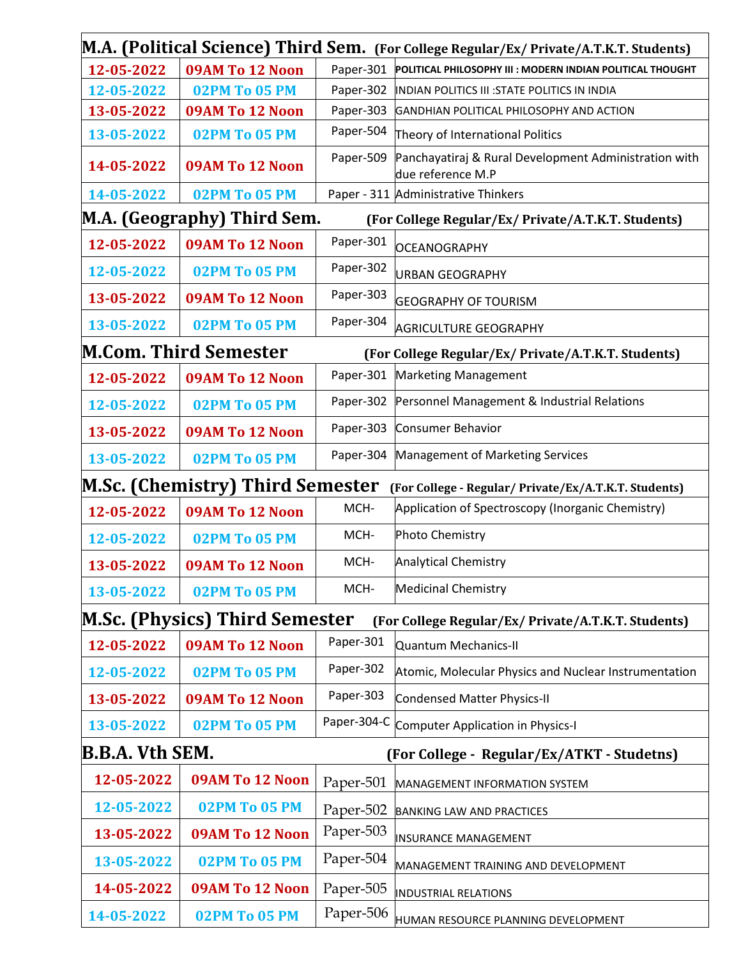|                        |                                       |             | M.A. (Political Science) Third Sem. (For College Regular/Ex/ Private/A.T.K.T. Students) |
|------------------------|---------------------------------------|-------------|-----------------------------------------------------------------------------------------|
| 12-05-2022             | 09AM To 12 Noon                       |             | Paper-301 POLITICAL PHILOSOPHY III : MODERN INDIAN POLITICAL THOUGHT                    |
| 12-05-2022             | 02PM To 05 PM                         | Paper-302   | INDIAN POLITICS III : STATE POLITICS IN INDIA                                           |
| 13-05-2022             | 09AM To 12 Noon                       | Paper-303   | GANDHIAN POLITICAL PHILOSOPHY AND ACTION                                                |
| 13-05-2022             | 02PM To 05 PM                         | Paper-504   | Theory of International Politics                                                        |
| 14-05-2022             | 09AM To 12 Noon                       | Paper-509   | Panchayatiraj & Rural Development Administration with<br>due reference M.P              |
| 14-05-2022             | 02PM To 05 PM                         |             | Paper - 311 Administrative Thinkers                                                     |
|                        | M.A. (Geography) Third Sem.           |             | (For College Regular/Ex/ Private/A.T.K.T. Students)                                     |
| 12-05-2022             | 09AM To 12 Noon                       | Paper-301   | <b>OCEANOGRAPHY</b>                                                                     |
| 12-05-2022             | 02PM To 05 PM                         | Paper-302   | <b>URBAN GEOGRAPHY</b>                                                                  |
| 13-05-2022             | 09AM To 12 Noon                       | Paper-303   | <b>GEOGRAPHY OF TOURISM</b>                                                             |
| 13-05-2022             | 02PM To 05 PM                         | Paper-304   | <b>AGRICULTURE GEOGRAPHY</b>                                                            |
|                        | <b>M.Com. Third Semester</b>          |             | (For College Regular/Ex/ Private/A.T.K.T. Students)                                     |
| 12-05-2022             | 09AM To 12 Noon                       | Paper-301   | <b>Marketing Management</b>                                                             |
| 12-05-2022             | 02PM To 05 PM                         | Paper-302   | Personnel Management & Industrial Relations                                             |
| 13-05-2022             | 09AM To 12 Noon                       | Paper-303   | <b>Consumer Behavior</b>                                                                |
| 13-05-2022             | 02PM To 05 PM                         | Paper-304   | Management of Marketing Services                                                        |
|                        | M.Sc. (Chemistry) Third Semester      |             | (For College - Regular/ Private/Ex/A.T.K.T. Students)                                   |
| 12-05-2022             | 09AM To 12 Noon                       | MCH-        | Application of Spectroscopy (Inorganic Chemistry)                                       |
| 12-05-2022             | 02PM To 05 PM                         | MCH-        | Photo Chemistry                                                                         |
| 13-05-2022             | 09AM To 12 Noon                       | MCH-        | <b>Analytical Chemistry</b>                                                             |
| 13-05-2022             | 02PM To 05 PM                         | MCH-        | <b>Medicinal Chemistry</b>                                                              |
|                        | <b>M.Sc. (Physics) Third Semester</b> |             | (For College Regular/Ex/ Private/A.T.K.T. Students)                                     |
| 12-05-2022             | 09AM To 12 Noon                       | Paper-301   | <b>Quantum Mechanics-II</b>                                                             |
| 12-05-2022             | 02PM To 05 PM                         | Paper-302   | Atomic, Molecular Physics and Nuclear Instrumentation                                   |
| 13-05-2022             | 09AM To 12 Noon                       | Paper-303   | Condensed Matter Physics-II                                                             |
| 13-05-2022             | 02PM To 05 PM                         | Paper-304-C | Computer Application in Physics-I                                                       |
| <b>B.B.A. Vth SEM.</b> |                                       |             | (For College - Regular/Ex/ATKT - Studetns)                                              |
| 12-05-2022             | 09AM To 12 Noon                       | Paper-501   | MANAGEMENT INFORMATION SYSTEM                                                           |
| 12-05-2022             | 02PM To 05 PM                         | Paper-502   | <b>BANKING LAW AND PRACTICES</b>                                                        |
| 13-05-2022             | 09AM To 12 Noon                       | Paper-503   | <b>INSURANCE MANAGEMENT</b>                                                             |
| 13-05-2022             | 02PM To 05 PM                         | Paper-504   | MANAGEMENT TRAINING AND DEVELOPMENT                                                     |
| 14-05-2022             | 09AM To 12 Noon                       | Paper-505   | <b>INDUSTRIAL RELATIONS</b>                                                             |
| 14-05-2022             | 02PM To 05 PM                         | Paper-506   | HUMAN RESOURCE PLANNING DEVELOPMENT                                                     |